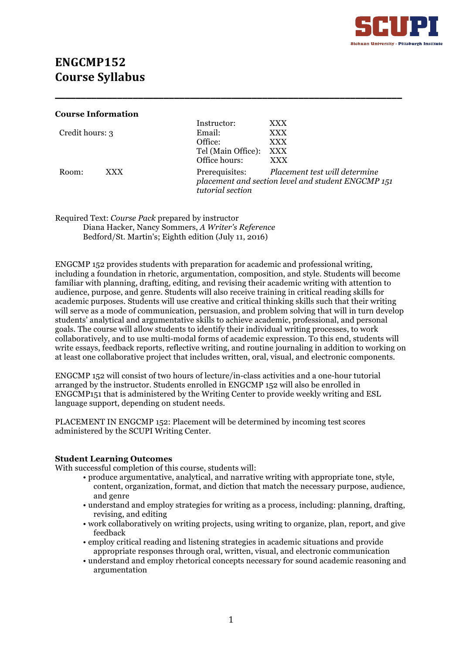

# **ENGCMP152 Course Syllabus**

| <b>Course Information</b> |      |                                                                                                                        |            |  |
|---------------------------|------|------------------------------------------------------------------------------------------------------------------------|------------|--|
|                           |      | Instructor:                                                                                                            | <b>XXX</b> |  |
| Credit hours: 3           |      | Email:                                                                                                                 | <b>XXX</b> |  |
|                           |      | Office:                                                                                                                | <b>XXX</b> |  |
|                           |      | Tel (Main Office):                                                                                                     | XXX        |  |
|                           |      | Office hours:                                                                                                          | <b>XXX</b> |  |
| Room:                     | XXX. | Prerequisites: Placement test will determine<br>placement and section level and student ENGCMP 151<br>tutorial section |            |  |

**\_\_\_\_\_\_\_\_\_\_\_\_\_\_\_\_\_\_\_\_\_\_\_\_\_\_\_\_\_\_\_\_\_\_\_\_\_\_\_\_\_\_\_\_\_\_\_\_\_\_\_\_\_\_\_\_\_\_\_\_\_\_\_\_\_\_\_**

Required Text: *Course Pack* prepared by instructor Diana Hacker, Nancy Sommers, *A Writer's Reference* Bedford/St. Martin's; Eighth edition (July 11, 2016)

ENGCMP 152 provides students with preparation for academic and professional writing, including a foundation in rhetoric, argumentation, composition, and style. Students will become familiar with planning, drafting, editing, and revising their academic writing with attention to audience, purpose, and genre. Students will also receive training in critical reading skills for academic purposes. Students will use creative and critical thinking skills such that their writing will serve as a mode of communication, persuasion, and problem solving that will in turn develop students' analytical and argumentative skills to achieve academic, professional, and personal goals. The course will allow students to identify their individual writing processes, to work collaboratively, and to use multi-modal forms of academic expression. To this end, students will write essays, feedback reports, reflective writing, and routine journaling in addition to working on at least one collaborative project that includes written, oral, visual, and electronic components.

ENGCMP 152 will consist of two hours of lecture/in-class activities and a one-hour tutorial arranged by the instructor. Students enrolled in ENGCMP 152 will also be enrolled in ENGCMP151 that is administered by the Writing Center to provide weekly writing and ESL language support, depending on student needs.

PLACEMENT IN ENGCMP 152: Placement will be determined by incoming test scores administered by the SCUPI Writing Center.

#### **Student Learning Outcomes**

With successful completion of this course, students will:

- produce argumentative, analytical, and narrative writing with appropriate tone, style, content, organization, format, and diction that match the necessary purpose, audience, and genre
- understand and employ strategies for writing as a process, including: planning, drafting, revising, and editing
- work collaboratively on writing projects, using writing to organize, plan, report, and give feedback
- employ critical reading and listening strategies in academic situations and provide appropriate responses through oral, written, visual, and electronic communication
- understand and employ rhetorical concepts necessary for sound academic reasoning and argumentation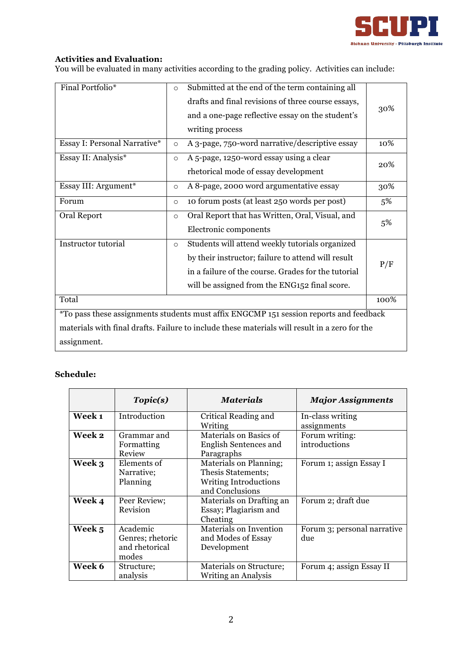

## **Activities and Evaluation:**

You will be evaluated in many activities according to the grading policy. Activities can include:

| Final Portfolio*                                                                              |                                                            | Submitted at the end of the term containing all     |     |  |
|-----------------------------------------------------------------------------------------------|------------------------------------------------------------|-----------------------------------------------------|-----|--|
|                                                                                               |                                                            | drafts and final revisions of three course essays,  | 30% |  |
|                                                                                               |                                                            | and a one-page reflective essay on the student's    |     |  |
|                                                                                               |                                                            | writing process                                     |     |  |
| Essay I: Personal Narrative*                                                                  | $\circ$                                                    | A 3-page, 750-word narrative/descriptive essay      |     |  |
| Essay II: Analysis*                                                                           | A 5-page, 1250-word essay using a clear<br>$\circ$         |                                                     |     |  |
|                                                                                               |                                                            | rhetorical mode of essay development                | 20% |  |
| Essay III: Argument*                                                                          | $\circ$                                                    | A 8-page, 2000 word argumentative essay             |     |  |
| Forum                                                                                         | $\circ$                                                    | 10 forum posts (at least 250 words per post)        | 5%  |  |
| Oral Report                                                                                   | Oral Report that has Written, Oral, Visual, and<br>$\circ$ |                                                     |     |  |
|                                                                                               |                                                            | Electronic components                               | 5%  |  |
| Instructor tutorial<br>$\circ$                                                                |                                                            | Students will attend weekly tutorials organized     |     |  |
|                                                                                               |                                                            | by their instructor; failure to attend will result  | P/F |  |
|                                                                                               |                                                            | in a failure of the course. Grades for the tutorial |     |  |
|                                                                                               |                                                            | will be assigned from the ENG152 final score.       |     |  |
| Total<br>100%                                                                                 |                                                            |                                                     |     |  |
| *To pass these assignments students must affix ENGCMP 151 session reports and feedback        |                                                            |                                                     |     |  |
| materials with final drafts. Failure to include these materials will result in a zero for the |                                                            |                                                     |     |  |
| assignment.                                                                                   |                                                            |                                                     |     |  |

## **Schedule:**

|        | Topic(s)                                                | <b>Materials</b>                                                                                | <b>Major Assignments</b>           |
|--------|---------------------------------------------------------|-------------------------------------------------------------------------------------------------|------------------------------------|
| Week 1 | Introduction                                            | Critical Reading and<br>Writing                                                                 | In-class writing<br>assignments    |
| Week 2 | Grammar and<br>Formatting<br>Review                     | Materials on Basics of<br>English Sentences and<br>Paragraphs                                   | Forum writing:<br>introductions    |
| Week 3 | Elements of<br>Narrative;<br>Planning                   | Materials on Planning;<br>Thesis Statements;<br><b>Writing Introductions</b><br>and Conclusions | Forum 1; assign Essay I            |
| Week 4 | Peer Review;<br>Revision                                | Materials on Drafting an<br>Essay; Plagiarism and<br>Cheating                                   | Forum 2; draft due                 |
| Week 5 | Academic<br>Genres; rhetoric<br>and rhetorical<br>modes | <b>Materials on Invention</b><br>and Modes of Essay<br>Development                              | Forum 3; personal narrative<br>due |
| Week 6 | Structure;<br>analysis                                  | Materials on Structure;<br>Writing an Analysis                                                  | Forum 4; assign Essay II           |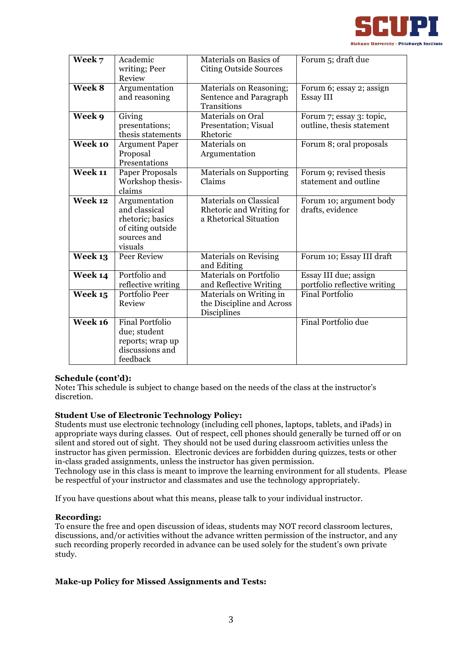

| Week 7                      | Academic               | Materials on Basics of         | Forum 5; draft due           |
|-----------------------------|------------------------|--------------------------------|------------------------------|
|                             | writing; Peer          | <b>Citing Outside Sources</b>  |                              |
|                             | Review                 |                                |                              |
| Week 8                      | Argumentation          | <b>Materials on Reasoning;</b> | Forum 6; essay 2; assign     |
|                             | and reasoning          | Sentence and Paragraph         | <b>Essay III</b>             |
|                             |                        | Transitions                    |                              |
| Week 9                      | Giving                 | Materials on Oral              | Forum 7; essay 3: topic,     |
|                             | presentations;         | Presentation; Visual           | outline, thesis statement    |
|                             | thesis statements      | Rhetoric                       |                              |
| Week 10                     | <b>Argument Paper</b>  | Materials on                   | Forum 8; oral proposals      |
|                             | Proposal               | Argumentation                  |                              |
|                             | Presentations          |                                |                              |
| $\overline{\text{Week 11}}$ | Paper Proposals        | <b>Materials on Supporting</b> | Forum 9; revised thesis      |
|                             | Workshop thesis-       | Claims                         | statement and outline        |
|                             | claims                 |                                |                              |
| Week 12                     | Argumentation          | <b>Materials on Classical</b>  | Forum 10; argument body      |
|                             | and classical          | Rhetoric and Writing for       | drafts, evidence             |
|                             | rhetoric; basics       | a Rhetorical Situation         |                              |
|                             | of citing outside      |                                |                              |
|                             | sources and            |                                |                              |
|                             | visuals                |                                |                              |
| Week 13                     | <b>Peer Review</b>     | Materials on Revising          | Forum 10; Essay III draft    |
|                             |                        | and Editing                    |                              |
| Week 14                     | Portfolio and          | <b>Materials on Portfolio</b>  | Essay III due; assign        |
|                             | reflective writing     | and Reflective Writing         | portfolio reflective writing |
| Week 15                     | Portfolio Peer         | Materials on Writing in        | <b>Final Portfolio</b>       |
|                             | Review                 | the Discipline and Across      |                              |
|                             |                        | Disciplines                    |                              |
| Week 16                     | <b>Final Portfolio</b> |                                | Final Portfolio due          |
|                             | due; student           |                                |                              |
|                             | reports; wrap up       |                                |                              |
|                             | discussions and        |                                |                              |
|                             | feedback               |                                |                              |

#### **Schedule (cont'd):**

Note**:** This schedule is subject to change based on the needs of the class at the instructor's discretion.

#### **Student Use of Electronic Technology Policy:**

Students must use electronic technology (including cell phones, laptops, tablets, and iPads) in appropriate ways during classes. Out of respect, cell phones should generally be turned off or on silent and stored out of sight. They should not be used during classroom activities unless the instructor has given permission. Electronic devices are forbidden during quizzes, tests or other in-class graded assignments, unless the instructor has given permission.

Technology use in this class is meant to improve the learning environment for all students. Please be respectful of your instructor and classmates and use the technology appropriately.

If you have questions about what this means, please talk to your individual instructor.

#### **Recording:**

To ensure the free and open discussion of ideas, students may NOT record classroom lectures, discussions, and/or activities without the advance written permission of the instructor, and any such recording properly recorded in advance can be used solely for the student's own private study.

#### **Make-up Policy for Missed Assignments and Tests:**